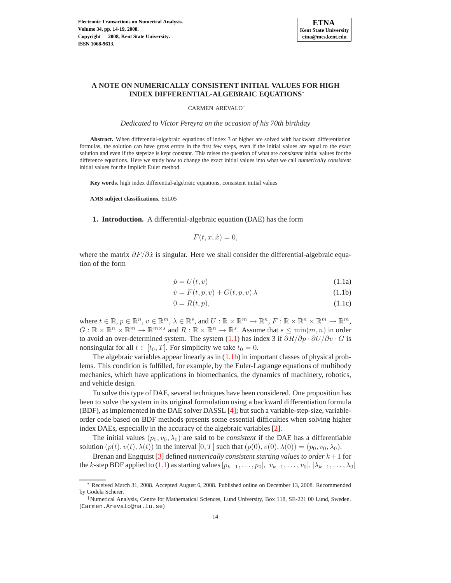

# **A NOTE ON NUMERICALLY CONSISTENT INITIAL VALUES FOR HIGH INDEX DIFFERENTIAL-ALGEBRAIC EQUATIONS**<sup>∗</sup>

CARMEN ARÉVALO<sup>†</sup>

*Dedicated to V´ıctor Pereyra on the occasion of his 70th birthday*

**Abstract.** When differential-algebraic equations of index 3 or higher are solved with backward differentiation formulas, the solution can have gross errors in the first few steps, even if the initial values are equal to the exact solution and even if the stepsize is kept constant. This raises the question of what are *consistent* initial values for the difference equations. Here we study how to change the exact initial values into what we call *numerically consistent* initial values for the implicit Euler method.

**Key words.** high index differential-algebraic equations, consistent initial values

**AMS subject classifications.** 65L05

**1. Introduction.** A differential-algebraic equation (DAE) has the form

$$
F(t, x, \dot{x}) = 0,
$$

<span id="page-0-1"></span><span id="page-0-0"></span>where the matrix  $\partial F/\partial \dot{x}$  is singular. Here we shall consider the differential-algebraic equation of the form

$$
\dot{p} = U(t, v) \tag{1.1a}
$$

$$
\dot{v} = F(t, p, v) + G(t, p, v) \lambda \tag{1.1b}
$$

$$
0 = R(t, p), \tag{1.1c}
$$

where  $t \in \mathbb{R}, p \in \mathbb{R}^n, v \in \mathbb{R}^m, \lambda \in \mathbb{R}^s$ , and  $U : \mathbb{R} \times \mathbb{R}^m \to \mathbb{R}^n, F : \mathbb{R} \times \mathbb{R}^n \times \mathbb{R}^m \to \mathbb{R}^m$ ,  $G: \mathbb{R} \times \mathbb{R}^n \times \mathbb{R}^m \to \mathbb{R}^{m \times s}$  and  $R: \mathbb{R} \times \mathbb{R}^n \to \mathbb{R}^s$ . Assume that  $s \le \min(m, n)$  in order to avoid an over-determined system. The system [\(1.1\)](#page-0-0) has index 3 if  $\partial R/\partial p \cdot \partial U/\partial v \cdot G$  is nonsingular for all  $t \in [t_0, T]$ . For simplicity we take  $t_0 = 0$ .

The algebraic variables appear linearly as in  $(1.1b)$  in important classes of physical problems. This condition is fulfilled, for example, by the Euler-Lagrange equations of multibody mechanics, which have applications in biomechanics, the dynamics of machinery, robotics, and vehicle design.

To solve this type of DAE, several techniques have been considered. One proposition has been to solve the system in its original formulation using a backward differentiation formula (BDF), as implemented in the DAE solver DASSL [\[4\]](#page-5-0); but such a variable-step-size, variableorder code based on BDF methods presents some essential difficulties when solving higher index DAEs, especially in the accuracy of the algebraic variables [\[2\]](#page-5-1).

The initial values  $(p_0, v_0, \lambda_0)$  are said to be *consistent* if the DAE has a differentiable solution  $(p(t), v(t), \lambda(t))$  in the interval  $[0, T]$  such that  $(p(0), v(0), \lambda(0)) = (p_0, v_0, \lambda_0)$ .

Brenan and Engquist [\[3\]](#page-5-2) defined *numerically consistent starting values to order* k+ 1 for the k-step BDF applied to [\(1.1\)](#page-0-0) as starting values  $[p_{k-1}, \ldots, p_0], [v_{k-1}, \ldots, v_0], [\lambda_{k-1}, \ldots, \lambda_0]$ 

<sup>∗</sup> Received March 31, 2008. Accepted August 6, 2008. Published online on December 13, 2008. Recommended by Godela Scherer.

<sup>†</sup>Numerical Analysis, Centre for Mathematical Sciences, Lund University, Box 118, SE-221 00 Lund, Sweden. (Carmen.Arevalo@na.lu.se)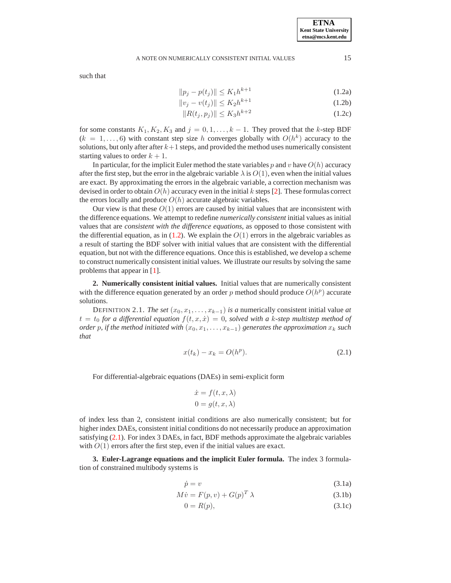# A NOTE ON NUMERICALLY CONSISTENT INITIAL VALUES 15

<span id="page-1-0"></span>such that

$$
||p_j - p(t_j)|| \le K_1 h^{k+1}
$$
\n(1.2a)

$$
||v_j - v(t_j)|| \le K_2 h^{k+1}
$$
 (1.2b)

$$
||R(t_j, p_j)|| \le K_3 h^{k+2}
$$
 (1.2c)

for some constants  $K_1, K_2, K_3$  and  $j = 0, 1, ..., k - 1$ . They proved that the k-step BDF  $(k = 1, \ldots, 6)$  with constant step size h converges globally with  $O(h<sup>k</sup>)$  accuracy to the solutions, but only after after  $k+1$  steps, and provided the method uses numerically consistent starting values to order  $k + 1$ .

In particular, for the implicit Euler method the state variables p and v have  $O(h)$  accuracy after the first step, but the error in the algebraic variable  $\lambda$  is  $O(1)$ , even when the initial values are exact. By approximating the errors in the algebraic variable, a correction mechanism was devised in order to obtain  $O(h)$  accuracy even in the initial k steps [\[2\]](#page-5-1). These formulas correct the errors locally and produce  $O(h)$  accurate algebraic variables.

Our view is that these  $O(1)$  errors are caused by initial values that are inconsistent with the difference equations. We attempt to redefine *numerically consistent* initial values as initial values that are *consistent with the difference equations*, as opposed to those consistent with the differential equation, as in  $(1.2)$ . We explain the  $O(1)$  errors in the algebraic variables as a result of starting the BDF solver with initial values that are consistent with the differential equation, but not with the difference equations. Once this is established, we develop a scheme to construct numerically consistent initial values. We illustrate our results by solving the same problems that appear in [\[1\]](#page-5-3).

**2. Numerically consistent initial values.** Initial values that are numerically consistent with the difference equation generated by an order p method should produce  $O(h^p)$  accurate solutions.

DEFINITION 2.1. *The set*  $(x_0, x_1, \ldots, x_{k-1})$  *is a* numerically consistent initial value *at*  $t = t_0$  *for a differential equation*  $f(t, x, \dot{x}) = 0$ *, solved with a k-step multistep method of order* p, if the method initiated with  $(x_0, x_1, \ldots, x_{k-1})$  generates the approximation  $x_k$  such *that*

$$
x(t_k) - x_k = O(h^p).
$$
 (2.1)

<span id="page-1-1"></span>For differential-algebraic equations (DAEs) in semi-explicit form

$$
\dot{x} = f(t, x, \lambda)
$$

$$
0 = g(t, x, \lambda)
$$

of index less than 2, consistent initial conditions are also numerically consistent; but for higher index DAEs, consistent initial conditions do not necessarily produce an approximation satisfying [\(2.1\)](#page-1-1). For index 3 DAEs, in fact, BDF methods approximate the algebraic variables with  $O(1)$  errors after the first step, even if the initial values are exact.

**3. Euler-Lagrange equations and the implicit Euler formula.** The index 3 formulation of constrained multibody systems is

<span id="page-1-2"></span>
$$
\dot{p} = v \tag{3.1a}
$$

$$
M\dot{v} = F(p, v) + G(p)^T \lambda \tag{3.1b}
$$

$$
0 = R(p),\tag{3.1c}
$$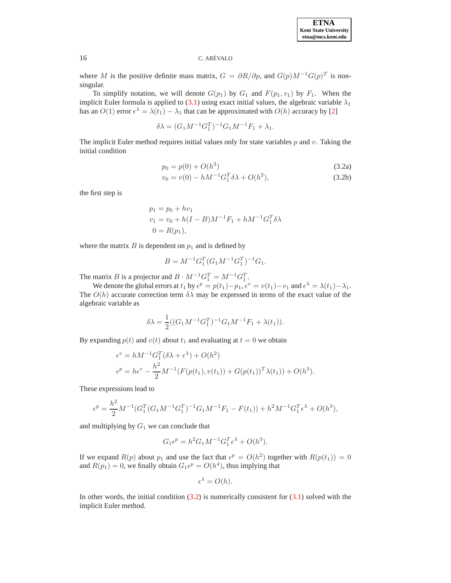# 16 C. AREVALO ´

where M is the positive definite mass matrix,  $G = \partial R / \partial p$ , and  $G(p)M^{-1}G(p)^T$  is nonsingular.

To simplify notation, we will denote  $G(p_1)$  by  $G_1$  and  $F(p_1, v_1)$  by  $F_1$ . When the implicit Euler formula is applied to [\(3.1\)](#page-1-2) using exact initial values, the algebraic variable  $\lambda_1$ has an  $O(1)$  error  $\epsilon^{\lambda} = \lambda(t_1) - \lambda_1$  that can be approximated with  $O(h)$  accuracy by [\[2\]](#page-5-1)

$$
\delta \lambda = (G_1 M^{-1} G_1^T)^{-1} G_1 M^{-1} F_1 + \lambda_1.
$$

<span id="page-2-1"></span><span id="page-2-0"></span>The implicit Euler method requires initial values only for state variables  $p$  and  $v$ . Taking the initial condition

$$
p_0 = p(0) + O(h^3)
$$
\n(3.2a)

$$
v_0 = v(0) - hM^{-1}G_1^T \delta \lambda + O(h^2), \tag{3.2b}
$$

the first step is

$$
p_1 = p_0 + hv_1
$$
  
\n
$$
v_1 = v_0 + h(I - B)M^{-1}F_1 + hM^{-1}G_1^T \delta \lambda
$$
  
\n
$$
0 = R(p_1),
$$

where the matrix  $B$  is dependent on  $p_1$  and is defined by

$$
B = M^{-1} G_1^T (G_1 M^{-1} G_1^T)^{-1} G_1.
$$

The matrix B is a projector and  $B \cdot M^{-1}G_1^T = M^{-1}G_1^T$ .

We denote the global errors at  $t_1$  by  $\epsilon^p = p(t_1) - p_1$ ,  $\epsilon^v = v(t_1) - v_1$  and  $\epsilon^{\lambda} = \lambda(t_1) - \lambda_1$ . The  $O(h)$  accurate correction term  $\delta \lambda$  may be expressed in terms of the exact value of the algebraic variable as

$$
\delta \lambda = \frac{1}{2} ((G_1 M^{-1} G_1^T)^{-1} G_1 M^{-1} F_1 + \lambda(t_1)).
$$

By expanding  $p(t)$  and  $v(t)$  about  $t_1$  and evaluating at  $t = 0$  we obtain

$$
\epsilon^v = hM^{-1}G_1^T(\delta \lambda + \epsilon^{\lambda}) + O(h^2)
$$
  

$$
\epsilon^p = h\epsilon^v - \frac{h^2}{2}M^{-1}(F(p(t_1), v(t_1)) + G(p(t_1))^T\lambda(t_1)) + O(h^3).
$$

These expressions lead to

$$
\epsilon^{p} = \frac{h^{2}}{2} M^{-1} (G_{1}^{T} (G_{1} M^{-1} G_{1}^{T})^{-1} G_{1} M^{-1} F_{1} - F(t_{1})) + h^{2} M^{-1} G_{1}^{T} \epsilon^{\lambda} + O(h^{3}),
$$

and multiplying by  $G_1$  we can conclude that

$$
G_1 \epsilon^p = h^2 G_1 M^{-1} G_1^T \epsilon^{\lambda} + O(h^3).
$$

If we expand  $R(p)$  about  $p_1$  and use the fact that  $\epsilon^p = O(h^2)$  together with  $R(p(t_1)) = 0$ and  $R(p_1) = 0$ , we finally obtain  $G_1 e^p = O(h^4)$ , thus implying that

$$
\epsilon^{\lambda} = O(h).
$$

In other words, the initial condition  $(3.2)$  is numerically consistent for  $(3.1)$  solved with the implicit Euler method.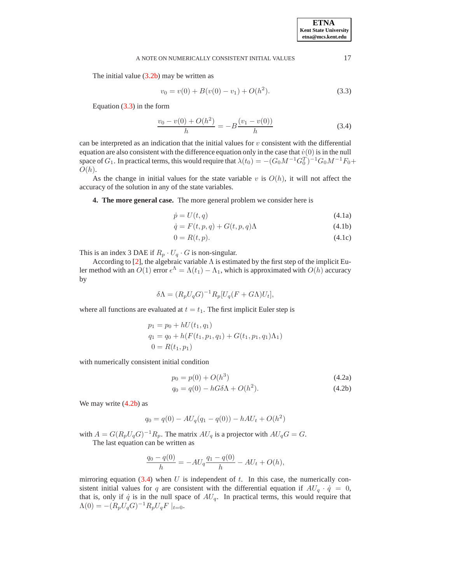#### A NOTE ON NUMERICALLY CONSISTENT INITIAL VALUES 17

<span id="page-3-0"></span>The initial value  $(3.2b)$  may be written as

$$
v_0 = v(0) + B(v(0) - v_1) + O(h^2).
$$
\n(3.3)

<span id="page-3-2"></span>Equation [\(3.3\)](#page-3-0) in the form

$$
\frac{v_0 - v(0) + O(h^2)}{h} = -B \frac{(v_1 - v(0))}{h}
$$
\n(3.4)

can be interpreted as an indication that the initial values for  $v$  consistent with the differential equation are also consistent with the difference equation only in the case that  $\dot{v}(0)$  is in the null space of  $G_1$ . In practical terms, this would require that  $\lambda(t_0) = -(G_0 M^{-1} G_0^T)^{-1} G_0 M^{-1} F_0 +$  $O(h).$ 

As the change in initial values for the state variable v is  $O(h)$ , it will not affect the accuracy of the solution in any of the state variables.

**4. The more general case.** The more general problem we consider here is

<span id="page-3-3"></span>
$$
\dot{p} = U(t, q) \tag{4.1a}
$$

$$
\dot{q} = F(t, p, q) + G(t, p, q)\Lambda \tag{4.1b}
$$

$$
0 = R(t, p). \tag{4.1c}
$$

This is an index 3 DAE if  $R_p \cdot U_q \cdot G$  is non-singular.

According to [\[2\]](#page-5-1), the algebraic variable  $\Lambda$  is estimated by the first step of the implicit Euler method with an  $O(1)$  error  $\epsilon^{\Lambda} = \Lambda(t_1) - \Lambda_1$ , which is approximated with  $O(h)$  accuracy by

$$
\delta \Lambda = (R_p U_q G)^{-1} R_p [U_q (F + G \Lambda) U_t],
$$

where all functions are evaluated at  $t = t_1$ . The first implicit Euler step is

$$
p_1 = p_0 + hU(t_1, q_1)
$$
  
\n
$$
q_1 = q_0 + h(F(t_1, p_1, q_1) + G(t_1, p_1, q_1)\Lambda_1)
$$
  
\n
$$
0 = R(t_1, p_1)
$$

<span id="page-3-1"></span>with numerically consistent initial condition

$$
p_0 = p(0) + O(h^3)
$$
\n
$$
q_0 = q(0) - hG\delta\Lambda + O(h^2).
$$
\n(4.2a)\n(4.2b)

We may write  $(4.2b)$  as

$$
q_0 = q(0) - AU_q(q_1 - q(0)) - hAU_t + O(h^2)
$$

with  $A = G(R_p U_q G)^{-1} R_p$ . The matrix  $A U_q$  is a projector with  $A U_q G = G$ . The last equation can be written as

$$
\frac{q_0 - q(0)}{h} = -AU_q \frac{q_1 - q(0)}{h} - AU_t + O(h),
$$

mirroring equation  $(3.4)$  when U is independent of t. In this case, the numerically consistent initial values for q are consistent with the differential equation if  $AU_q \cdot \dot{q} = 0$ , that is, only if  $\dot{q}$  is in the null space of  $AU_q$ . In practical terms, this would require that  $\Lambda(0) = -(R_p U_q G)^{-1} R_p U_q F\mid_{t=0}.$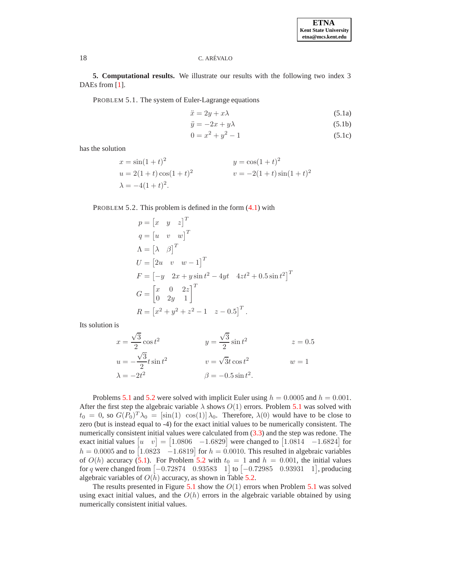## 18 C. AREVALO ´

<span id="page-4-0"></span>**5. Computational results.** We illustrate our results with the following two index 3 DAEs from [\[1\]](#page-5-3).

PROBLEM 5.1. The system of Euler-Lagrange equations

$$
\ddot{x} = 2y + x\lambda \tag{5.1a}
$$

$$
\ddot{y} = -2x + y\lambda \tag{5.1b}
$$

$$
0 = x^2 + y^2 - 1 \tag{5.1c}
$$

has the solution

$$
x = \sin(1+t)^2
$$
  
\n
$$
u = 2(1+t)\cos(1+t)^2
$$
  
\n
$$
v = -2(1+t)\sin(1+t)^2
$$
  
\n
$$
\lambda = -4(1+t)^2.
$$
  
\n
$$
y = \cos(1+t)^2
$$
  
\n
$$
v = -2(1+t)\sin(1+t)^2
$$

<span id="page-4-1"></span>PROBLEM 5.2. This problem is defined in the form [\(4.1\)](#page-3-3) with

$$
p = [x \quad y \quad z]^T
$$
  
\n
$$
q = [u \quad v \quad w]^T
$$
  
\n
$$
\Lambda = [\lambda \quad \beta]^T
$$
  
\n
$$
U = [2u \quad v \quad w - 1]^T
$$
  
\n
$$
F = [-y \quad 2x + y \sin t^2 - 4yt \quad 4zt^2 + 0.5 \sin t^2]^T
$$
  
\n
$$
G = \begin{bmatrix} x & 0 & 2z \\ 0 & 2y & 1 \end{bmatrix}^T
$$
  
\n
$$
R = [x^2 + y^2 + z^2 - 1 \quad z - 0.5]^T.
$$

Its solution is

$$
x = \frac{\sqrt{3}}{2}\cos t^2
$$
  
\n
$$
y = \frac{\sqrt{3}}{2}\sin t^2
$$
  
\n
$$
y = \sqrt{3}\sin t^2
$$
  
\n
$$
y = \sqrt{3}t\cos t^2
$$
  
\n
$$
y = \sqrt{3}t\cos t^2
$$
  
\n
$$
y = \sqrt{3}t\cos t^2
$$
  
\n
$$
y = 1
$$
  
\n
$$
\beta = -0.5\sin t^2
$$

Problems [5.1](#page-4-0) and [5.2](#page-4-1) were solved with implicit Euler using  $h = 0.0005$  and  $h = 0.001$ . After the first step the algebraic variable  $\lambda$  shows  $O(1)$  errors. Problem [5.1](#page-4-0) was solved with  $t_0 = 0$ , so  $G(P_0)^T \lambda_0 = [\sin(1) \cos(1)] \lambda_0$ . Therefore,  $\lambda(0)$  would have to be close to zero (but is instead equal to -4) for the exact initial values to be numerically consistent. The numerically consistent initial values were calculated from [\(3.3\)](#page-3-0) and the step was redone. The exact initial values  $\begin{bmatrix} u & v \end{bmatrix} = \begin{bmatrix} 1.0806 & -1.6829 \end{bmatrix}$  were changed to  $\begin{bmatrix} 1.0814 & -1.6824 \end{bmatrix}$  for  $h = 0.0005$  and to  $\begin{bmatrix} 1.0823 & -1.6819 \end{bmatrix}$  for  $h = 0.0010$ . This resulted in algebraic variables of  $O(h)$  accuracy [\(5.1\)](#page-5-4). For Problem [5.2](#page-4-1) with  $t_0 = 1$  and  $h = 0.001$ , the initial values for q were changed from  $[-0.72874 \quad 0.93583 \quad 1]$  to  $[-0.72985 \quad 0.93931 \quad 1]$ , producing algebraic variables of  $O(h)$  accuracy, as shown in Table [5.2.](#page-5-5)

The results presented in Figure [5.1](#page-4-0) show the  $O(1)$  errors when Problem 5.1 was solved using exact initial values, and the  $O(h)$  errors in the algebraic variable obtained by using numerically consistent initial values.